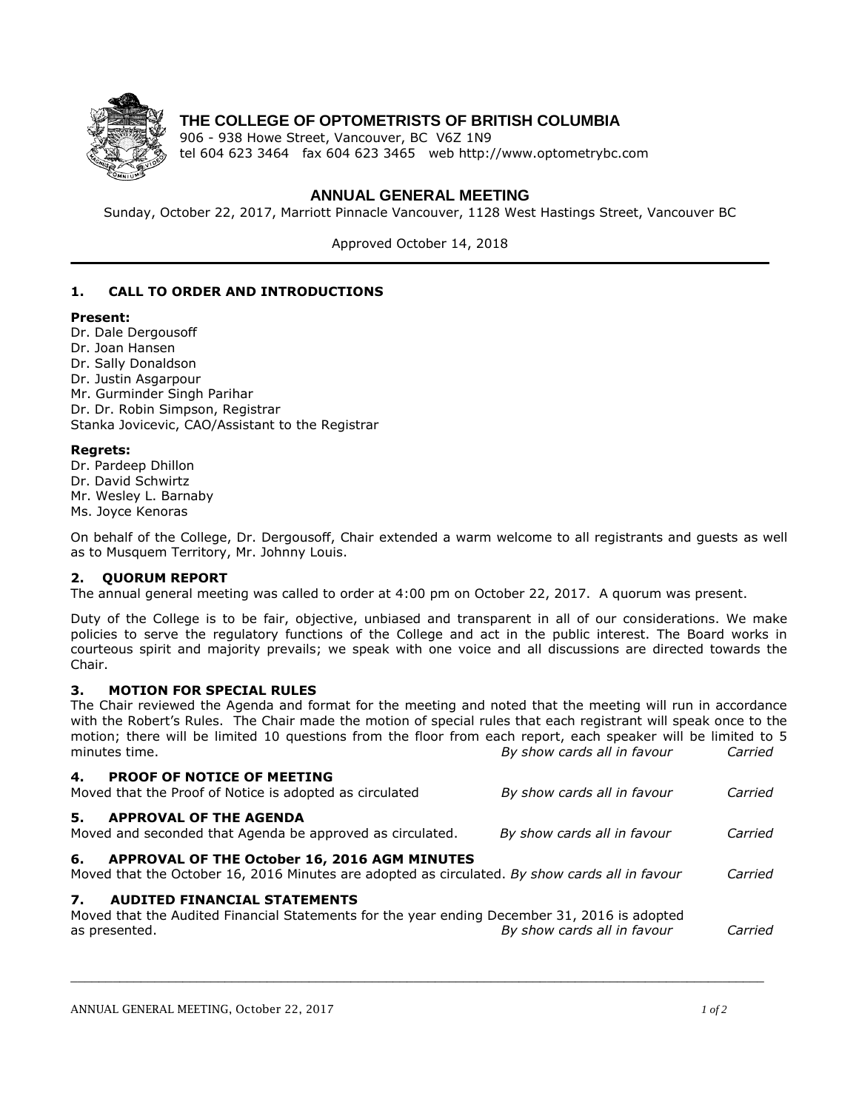

# **THE COLLEGE OF OPTOMETRISTS OF BRITISH COLUMBIA**

906 - 938 Howe Street, Vancouver, BC V6Z 1N9 tel 604 623 3464 fax 604 623 3465 web http://www.optometrybc.com

## **ANNUAL GENERAL MEETING**

Sunday, October 22, 2017, Marriott Pinnacle Vancouver, 1128 West Hastings Street, Vancouver BC

Approved October 14, 2018

### **1. CALL TO ORDER AND INTRODUCTIONS**

#### **Present:**

Dr. Dale Dergousoff Dr. Joan Hansen Dr. Sally Donaldson Dr. Justin Asgarpour Mr. Gurminder Singh Parihar Dr. Dr. Robin Simpson, Registrar Stanka Jovicevic, CAO/Assistant to the Registrar

### **Regrets:**

Dr. Pardeep Dhillon Dr. David Schwirtz Mr. Wesley L. Barnaby Ms. Joyce Kenoras

On behalf of the College, Dr. Dergousoff, Chair extended a warm welcome to all registrants and guests as well as to Musquem Territory, Mr. Johnny Louis.

### **2. QUORUM REPORT**

The annual general meeting was called to order at 4:00 pm on October 22, 2017. A quorum was present.

Duty of the College is to be fair, objective, unbiased and transparent in all of our considerations. We make policies to serve the regulatory functions of the College and act in the public interest. The Board works in courteous spirit and majority prevails; we speak with one voice and all discussions are directed towards the Chair.

### **3. MOTION FOR SPECIAL RULES**

The Chair reviewed the Agenda and format for the meeting and noted that the meeting will run in accordance with the Robert's Rules. The Chair made the motion of special rules that each registrant will speak once to the motion; there will be limited 10 questions from the floor from each report, each speaker will be limited to 5 minutes time. *By show cards all in favour Carried*

| PROOF OF NOTICE OF MEETING<br>4.<br>Moved that the Proof of Notice is adopted as circulated                                                                | By show cards all in favour | Carried |
|------------------------------------------------------------------------------------------------------------------------------------------------------------|-----------------------------|---------|
| <b>APPROVAL OF THE AGENDA</b><br>5.<br>Moved and seconded that Agenda be approved as circulated.                                                           | By show cards all in favour | Carried |
| APPROVAL OF THE October 16, 2016 AGM MINUTES<br>6.<br>Moved that the October 16, 2016 Minutes are adopted as circulated. By show cards all in favour       |                             | Carried |
| <b>AUDITED FINANCIAL STATEMENTS</b><br>7.<br>Moved that the Audited Financial Statements for the year ending December 31, 2016 is adopted<br>as presented. | By show cards all in favour | Carried |

\_\_\_\_\_\_\_\_\_\_\_\_\_\_\_\_\_\_\_\_\_\_\_\_\_\_\_\_\_\_\_\_\_\_\_\_\_\_\_\_\_\_\_\_\_\_\_\_\_\_\_\_\_\_\_\_\_\_\_\_\_\_\_\_\_\_\_\_\_\_\_\_\_\_\_\_\_\_\_\_\_\_\_\_\_\_\_\_\_\_\_\_\_\_\_\_\_\_\_